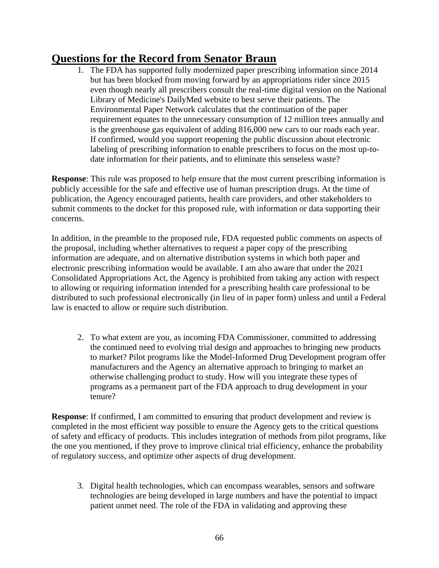## **Questions for the Record from Senator Braun**

1. The FDA has supported fully modernized paper prescribing information since 2014 but has been blocked from moving forward by an appropriations rider since 2015 even though nearly all prescribers consult the real-time digital version on the National Library of Medicine's DailyMed website to best serve their patients. The Environmental Paper Network calculates that the continuation of the paper requirement equates to the unnecessary consumption of 12 million trees annually and is the greenhouse gas equivalent of adding 816,000 new cars to our roads each year. If confirmed, would you support reopening the public discussion about electronic labeling of prescribing information to enable prescribers to focus on the most up-todate information for their patients, and to eliminate this senseless waste?

**Response**: This rule was proposed to help ensure that the most current prescribing information is publicly accessible for the safe and effective use of human prescription drugs. At the time of publication, the Agency encouraged patients, health care providers, and other stakeholders to submit comments to the docket for this proposed rule, with information or data supporting their concerns.

In addition, in the preamble to the proposed rule, FDA requested public comments on aspects of the proposal, including whether alternatives to request a paper copy of the prescribing information are adequate, and on alternative distribution systems in which both paper and electronic prescribing information would be available. I am also aware that under the 2021 Consolidated Appropriations Act, the Agency is prohibited from taking any action with respect to allowing or requiring information intended for a prescribing health care professional to be distributed to such professional electronically (in lieu of in paper form) unless and until a Federal law is enacted to allow or require such distribution.

2. To what extent are you, as incoming FDA Commissioner, committed to addressing the continued need to evolving trial design and approaches to bringing new products to market? Pilot programs like the Model-Informed Drug Development program offer manufacturers and the Agency an alternative approach to bringing to market an otherwise challenging product to study. How will you integrate these types of programs as a permanent part of the FDA approach to drug development in your tenure?

**Response**: If confirmed, I am committed to ensuring that product development and review is completed in the most efficient way possible to ensure the Agency gets to the critical questions of safety and efficacy of products. This includes integration of methods from pilot programs, like the one you mentioned, if they prove to improve clinical trial efficiency, enhance the probability of regulatory success, and optimize other aspects of drug development.

3. Digital health technologies, which can encompass wearables, sensors and software technologies are being developed in large numbers and have the potential to impact patient unmet need. The role of the FDA in validating and approving these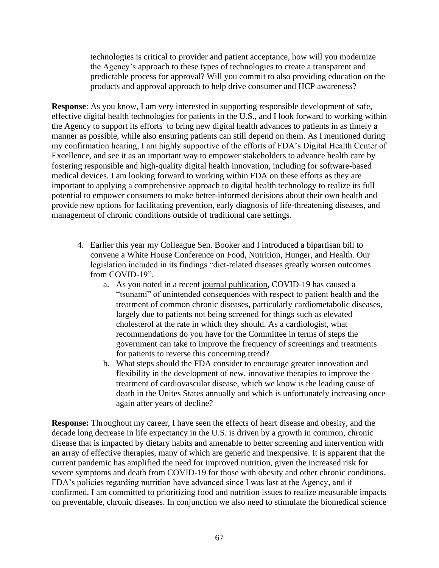technologies is critical to provider and patient acceptance, how will you modernize the Agency's approach to these types of technologies to create a transparent and predictable process for approval? Will you commit to also providing education on the products and approval approach to help drive consumer and HCP awareness?

**Response**: As you know, I am very interested in supporting responsible development of safe, effective digital health technologies for patients in the U.S., and I look forward to working within the Agency to support its efforts to bring new digital health advances to patients in as timely a manner as possible, while also ensuring patients can still depend on them. As I mentioned during my confirmation hearing, I am highly supportive of the efforts of FDA's Digital Health Center of Excellence, and see it as an important way to empower stakeholders to advance health care by fostering responsible and high-quality digital health innovation, including for software-based medical devices. I am looking forward to working within FDA on these efforts as they are important to applying a comprehensive approach to digital health technology to realize its full potential to empower consumers to make better-informed decisions about their own health and provide new options for facilitating prevention, early diagnosis of life-threatening diseases, and management of chronic conditions outside of traditional care settings.

- 4. Earlier this year my Colleague Sen. Booker and I introduced a [bipartisan bill](https://www.congress.gov/bill/117th-congress/senate-bill/3064/text?r=7&s=2) to convene a White House Conference on Food, Nutrition, Hunger, and Health. Our legislation included in its findings "diet-related diseases greatly worsen outcomes from COVID-19".
	- a. As you noted in a recent [journal publication,](https://www.ahajournals.org/doi/10.1161/CIRCULATIONAHA.121.053461) COVID-19 has caused a "tsunami" of unintended consequences with respect to patient health and the treatment of common chronic diseases, particularly cardiometabolic diseases, largely due to patients not being screened for things such as elevated cholesterol at the rate in which they should. As a cardiologist, what recommendations do you have for the Committee in terms of steps the government can take to improve the frequency of screenings and treatments for patients to reverse this concerning trend?
	- b. What steps should the FDA consider to encourage greater innovation and flexibility in the development of new, innovative therapies to improve the treatment of cardiovascular disease, which we know is the leading cause of death in the Unites States annually and which is unfortunately increasing once again after years of decline?

**Response:** Throughout my career, I have seen the effects of heart disease and obesity, and the decade long decrease in life expectancy in the U.S. is driven by a growth in common, chronic disease that is impacted by dietary habits and amenable to better screening and intervention with an array of effective therapies, many of which are generic and inexpensive. It is apparent that the current pandemic has amplified the need for improved nutrition, given the increased risk for severe symptoms and death from COVID-19 for those with obesity and other chronic conditions. FDA's policies regarding nutrition have advanced since I was last at the Agency, and if confirmed, I am committed to prioritizing food and nutrition issues to realize measurable impacts on preventable, chronic diseases. In conjunction we also need to stimulate the biomedical science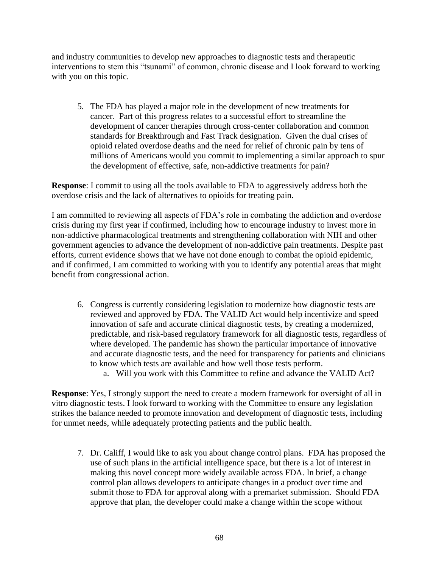and industry communities to develop new approaches to diagnostic tests and therapeutic interventions to stem this "tsunami" of common, chronic disease and I look forward to working with you on this topic.

5. The FDA has played a major role in the development of new treatments for cancer. Part of this progress relates to a successful effort to streamline the development of cancer therapies through cross-center collaboration and common standards for Breakthrough and Fast Track designation. Given the dual crises of opioid related overdose deaths and the need for relief of chronic pain by tens of millions of Americans would you commit to implementing a similar approach to spur the development of effective, safe, non-addictive treatments for pain?

**Response**: I commit to using all the tools available to FDA to aggressively address both the overdose crisis and the lack of alternatives to opioids for treating pain.

I am committed to reviewing all aspects of FDA's role in combating the addiction and overdose crisis during my first year if confirmed, including how to encourage industry to invest more in non-addictive pharmacological treatments and strengthening collaboration with NIH and other government agencies to advance the development of non-addictive pain treatments. Despite past efforts, current evidence shows that we have not done enough to combat the opioid epidemic, and if confirmed, I am committed to working with you to identify any potential areas that might benefit from congressional action.

- 6. Congress is currently considering legislation to modernize how diagnostic tests are reviewed and approved by FDA. The VALID Act would help incentivize and speed innovation of safe and accurate clinical diagnostic tests, by creating a modernized, predictable, and risk-based regulatory framework for all diagnostic tests, regardless of where developed. The pandemic has shown the particular importance of innovative and accurate diagnostic tests, and the need for transparency for patients and clinicians to know which tests are available and how well those tests perform.
	- a. Will you work with this Committee to refine and advance the VALID Act?

**Response**: Yes, I strongly support the need to create a modern framework for oversight of all in vitro diagnostic tests. I look forward to working with the Committee to ensure any legislation strikes the balance needed to promote innovation and development of diagnostic tests, including for unmet needs, while adequately protecting patients and the public health.

7. Dr. Califf, I would like to ask you about change control plans. FDA has proposed the use of such plans in the artificial intelligence space, but there is a lot of interest in making this novel concept more widely available across FDA. In brief, a change control plan allows developers to anticipate changes in a product over time and submit those to FDA for approval along with a premarket submission. Should FDA approve that plan, the developer could make a change within the scope without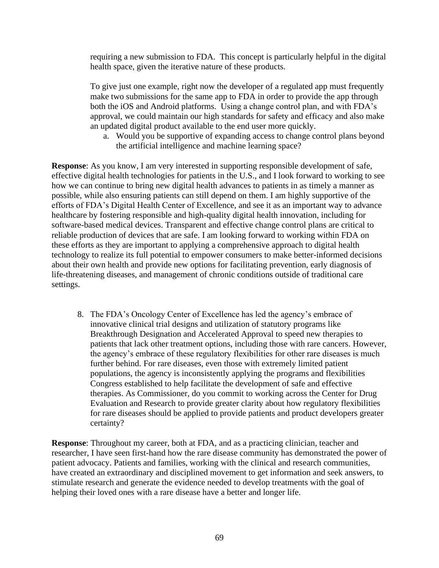requiring a new submission to FDA. This concept is particularly helpful in the digital health space, given the iterative nature of these products.

To give just one example, right now the developer of a regulated app must frequently make two submissions for the same app to FDA in order to provide the app through both the iOS and Android platforms. Using a change control plan, and with FDA's approval, we could maintain our high standards for safety and efficacy and also make an updated digital product available to the end user more quickly.

a. Would you be supportive of expanding access to change control plans beyond the artificial intelligence and machine learning space?

**Response**: As you know, I am very interested in supporting responsible development of safe, effective digital health technologies for patients in the U.S., and I look forward to working to see how we can continue to bring new digital health advances to patients in as timely a manner as possible, while also ensuring patients can still depend on them. I am highly supportive of the efforts of FDA's Digital Health Center of Excellence, and see it as an important way to advance healthcare by fostering responsible and high-quality digital health innovation, including for software-based medical devices. Transparent and effective change control plans are critical to reliable production of devices that are safe. I am looking forward to working within FDA on these efforts as they are important to applying a comprehensive approach to digital health technology to realize its full potential to empower consumers to make better-informed decisions about their own health and provide new options for facilitating prevention, early diagnosis of life-threatening diseases, and management of chronic conditions outside of traditional care settings.

8. The FDA's Oncology Center of Excellence has led the agency's embrace of innovative clinical trial designs and utilization of statutory programs like Breakthrough Designation and Accelerated Approval to speed new therapies to patients that lack other treatment options, including those with rare cancers. However, the agency's embrace of these regulatory flexibilities for other rare diseases is much further behind. For rare diseases, even those with extremely limited patient populations, the agency is inconsistently applying the programs and flexibilities Congress established to help facilitate the development of safe and effective therapies. As Commissioner, do you commit to working across the Center for Drug Evaluation and Research to provide greater clarity about how regulatory flexibilities for rare diseases should be applied to provide patients and product developers greater certainty?

**Response**: Throughout my career, both at FDA, and as a practicing clinician, teacher and researcher, I have seen first-hand how the rare disease community has demonstrated the power of patient advocacy. Patients and families, working with the clinical and research communities, have created an extraordinary and disciplined movement to get information and seek answers, to stimulate research and generate the evidence needed to develop treatments with the goal of helping their loved ones with a rare disease have a better and longer life.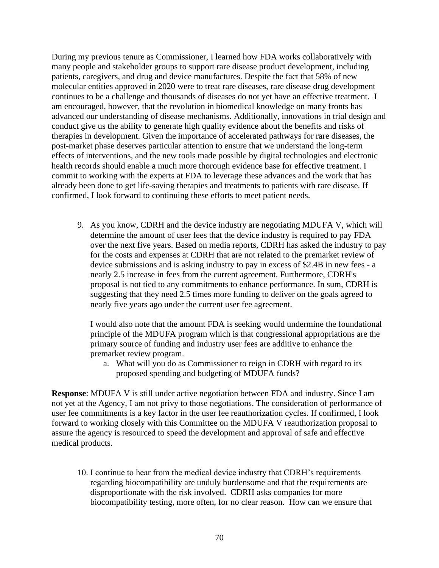During my previous tenure as Commissioner, I learned how FDA works collaboratively with many people and stakeholder groups to support rare disease product development, including patients, caregivers, and drug and device manufactures. Despite the fact that 58% of new molecular entities approved in 2020 were to treat rare diseases, rare disease drug development continues to be a challenge and thousands of diseases do not yet have an effective treatment. I am encouraged, however, that the revolution in biomedical knowledge on many fronts has advanced our understanding of disease mechanisms. Additionally, innovations in trial design and conduct give us the ability to generate high quality evidence about the benefits and risks of therapies in development. Given the importance of accelerated pathways for rare diseases, the post-market phase deserves particular attention to ensure that we understand the long-term effects of interventions, and the new tools made possible by digital technologies and electronic health records should enable a much more thorough evidence base for effective treatment. I commit to working with the experts at FDA to leverage these advances and the work that has already been done to get life-saving therapies and treatments to patients with rare disease. If confirmed, I look forward to continuing these efforts to meet patient needs.

9. As you know, CDRH and the device industry are negotiating MDUFA V, which will determine the amount of user fees that the device industry is required to pay FDA over the next five years. Based on media reports, CDRH has asked the industry to pay for the costs and expenses at CDRH that are not related to the premarket review of device submissions and is asking industry to pay in excess of \$2.4B in new fees - a nearly 2.5 increase in fees from the current agreement. Furthermore, CDRH's proposal is not tied to any commitments to enhance performance. In sum, CDRH is suggesting that they need 2.5 times more funding to deliver on the goals agreed to nearly five years ago under the current user fee agreement.

I would also note that the amount FDA is seeking would undermine the foundational principle of the MDUFA program which is that congressional appropriations are the primary source of funding and industry user fees are additive to enhance the premarket review program.

a. What will you do as Commissioner to reign in CDRH with regard to its proposed spending and budgeting of MDUFA funds?

**Response**: MDUFA V is still under active negotiation between FDA and industry. Since I am not yet at the Agency, I am not privy to those negotiations. The consideration of performance of user fee commitments is a key factor in the user fee reauthorization cycles. If confirmed, I look forward to working closely with this Committee on the MDUFA V reauthorization proposal to assure the agency is resourced to speed the development and approval of safe and effective medical products.

10. I continue to hear from the medical device industry that CDRH's requirements regarding biocompatibility are unduly burdensome and that the requirements are disproportionate with the risk involved. CDRH asks companies for more biocompatibility testing, more often, for no clear reason. How can we ensure that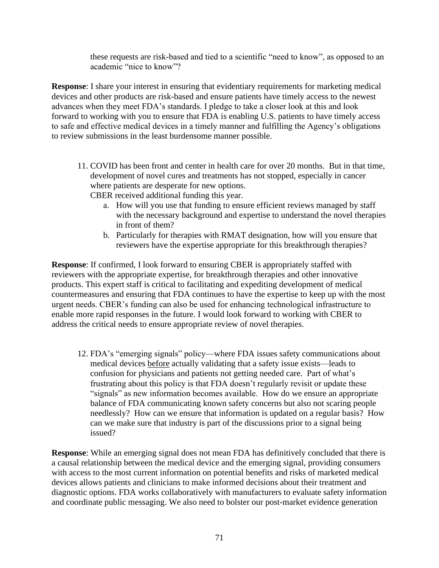these requests are risk-based and tied to a scientific "need to know", as opposed to an academic "nice to know"?

**Response**: I share your interest in ensuring that evidentiary requirements for marketing medical devices and other products are risk-based and ensure patients have timely access to the newest advances when they meet FDA's standards. I pledge to take a closer look at this and look forward to working with you to ensure that FDA is enabling U.S. patients to have timely access to safe and effective medical devices in a timely manner and fulfilling the Agency's obligations to review submissions in the least burdensome manner possible.

11. COVID has been front and center in health care for over 20 months. But in that time, development of novel cures and treatments has not stopped, especially in cancer where patients are desperate for new options.

CBER received additional funding this year.

- a. How will you use that funding to ensure efficient reviews managed by staff with the necessary background and expertise to understand the novel therapies in front of them?
- b. Particularly for therapies with RMAT designation, how will you ensure that reviewers have the expertise appropriate for this breakthrough therapies?

**Response**: If confirmed, I look forward to ensuring CBER is appropriately staffed with reviewers with the appropriate expertise, for breakthrough therapies and other innovative products. This expert staff is critical to facilitating and expediting development of medical countermeasures and ensuring that FDA continues to have the expertise to keep up with the most urgent needs. CBER's funding can also be used for enhancing technological infrastructure to enable more rapid responses in the future. I would look forward to working with CBER to address the critical needs to ensure appropriate review of novel therapies.

12. FDA's "emerging signals" policy—where FDA issues safety communications about medical devices before actually validating that a safety issue exists—leads to confusion for physicians and patients not getting needed care. Part of what's frustrating about this policy is that FDA doesn't regularly revisit or update these "signals" as new information becomes available. How do we ensure an appropriate balance of FDA communicating known safety concerns but also not scaring people needlessly? How can we ensure that information is updated on a regular basis? How can we make sure that industry is part of the discussions prior to a signal being issued?

**Response**: While an emerging signal does not mean FDA has definitively concluded that there is a causal relationship between the medical device and the emerging signal, providing consumers with access to the most current information on potential benefits and risks of marketed medical devices allows patients and clinicians to make informed decisions about their treatment and diagnostic options. FDA works collaboratively with manufacturers to evaluate safety information and coordinate public messaging. We also need to bolster our post-market evidence generation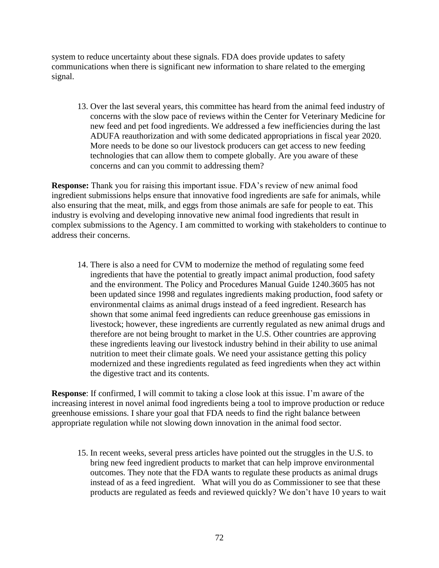system to reduce uncertainty about these signals. FDA does provide updates to safety communications when there is significant new information to share related to the emerging signal.

13. Over the last several years, this committee has heard from the animal feed industry of concerns with the slow pace of reviews within the Center for Veterinary Medicine for new feed and pet food ingredients. We addressed a few inefficiencies during the last ADUFA reauthorization and with some dedicated appropriations in fiscal year 2020. More needs to be done so our livestock producers can get access to new feeding technologies that can allow them to compete globally. Are you aware of these concerns and can you commit to addressing them?

**Response:** Thank you for raising this important issue. FDA's review of new animal food ingredient submissions helps ensure that innovative food ingredients are safe for animals, while also ensuring that the meat, milk, and eggs from those animals are safe for people to eat. This industry is evolving and developing innovative new animal food ingredients that result in complex submissions to the Agency. I am committed to working with stakeholders to continue to address their concerns.

14. There is also a need for CVM to modernize the method of regulating some feed ingredients that have the potential to greatly impact animal production, food safety and the environment. The Policy and Procedures Manual Guide 1240.3605 has not been updated since 1998 and regulates ingredients making production, food safety or environmental claims as animal drugs instead of a feed ingredient. Research has shown that some animal feed ingredients can reduce greenhouse gas emissions in livestock; however, these ingredients are currently regulated as new animal drugs and therefore are not being brought to market in the U.S. Other countries are approving these ingredients leaving our livestock industry behind in their ability to use animal nutrition to meet their climate goals. We need your assistance getting this policy modernized and these ingredients regulated as feed ingredients when they act within the digestive tract and its contents.

**Response**: If confirmed, I will commit to taking a close look at this issue. I'm aware of the increasing interest in novel animal food ingredients being a tool to improve production or reduce greenhouse emissions. I share your goal that FDA needs to find the right balance between appropriate regulation while not slowing down innovation in the animal food sector.

15. In recent weeks, several press articles have pointed out the struggles in the U.S. to bring new feed ingredient products to market that can help improve environmental outcomes. They note that the FDA wants to regulate these products as animal drugs instead of as a feed ingredient. What will you do as Commissioner to see that these products are regulated as feeds and reviewed quickly? We don't have 10 years to wait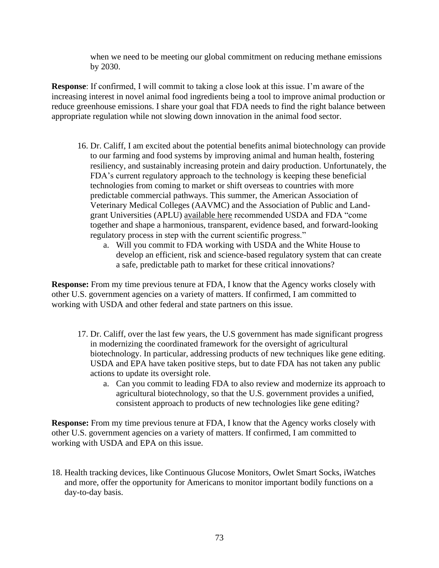when we need to be meeting our global commitment on reducing methane emissions by 2030.

**Response**: If confirmed, I will commit to taking a close look at this issue. I'm aware of the increasing interest in novel animal food ingredients being a tool to improve animal production or reduce greenhouse emissions. I share your goal that FDA needs to find the right balance between appropriate regulation while not slowing down innovation in the animal food sector.

- 16. Dr. Califf, I am excited about the potential benefits animal biotechnology can provide to our farming and food systems by improving animal and human health, fostering resiliency, and sustainably increasing protein and dairy production. Unfortunately, the FDA's current regulatory approach to the technology is keeping these beneficial technologies from coming to market or shift overseas to countries with more predictable commercial pathways. This summer, the American Association of Veterinary Medical Colleges (AAVMC) and the Association of Public and Landgrant Universities (APLU) [available here](https://www.aavmc.org/wp-content/uploads/2021/07/AAVMC-Gene-Editing-Report-12.pdf) recommended USDA and FDA "come together and shape a harmonious, transparent, evidence based, and forward-looking regulatory process in step with the current scientific progress."
	- a. Will you commit to FDA working with USDA and the White House to develop an efficient, risk and science-based regulatory system that can create a safe, predictable path to market for these critical innovations?

**Response:** From my time previous tenure at FDA, I know that the Agency works closely with other U.S. government agencies on a variety of matters. If confirmed, I am committed to working with USDA and other federal and state partners on this issue.

- 17. Dr. Califf, over the last few years, the U.S government has made significant progress in modernizing the coordinated framework for the oversight of agricultural biotechnology. In particular, addressing products of new techniques like gene editing. USDA and EPA have taken positive steps, but to date FDA has not taken any public actions to update its oversight role.
	- a. Can you commit to leading FDA to also review and modernize its approach to agricultural biotechnology, so that the U.S. government provides a unified, consistent approach to products of new technologies like gene editing?

**Response:** From my time previous tenure at FDA, I know that the Agency works closely with other U.S. government agencies on a variety of matters. If confirmed, I am committed to working with USDA and EPA on this issue.

18. Health tracking devices, like Continuous Glucose Monitors, Owlet Smart Socks, iWatches and more, offer the opportunity for Americans to monitor important bodily functions on a day-to-day basis.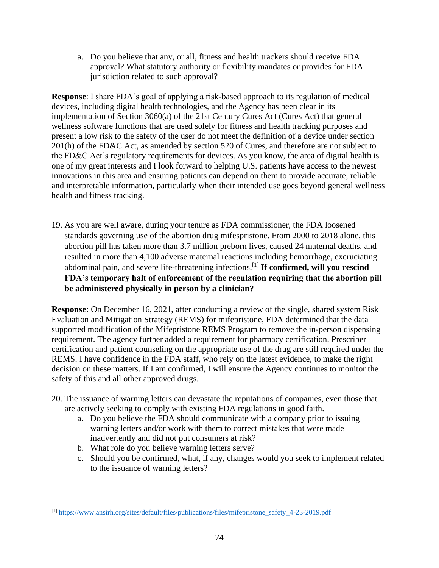a. Do you believe that any, or all, fitness and health trackers should receive FDA approval? What statutory authority or flexibility mandates or provides for FDA jurisdiction related to such approval?

**Response**: I share FDA's goal of applying a risk-based approach to its regulation of medical devices, including digital health technologies, and the Agency has been clear in its implementation of Section 3060(a) of the 21st Century Cures Act (Cures Act) that general wellness software functions that are used solely for fitness and health tracking purposes and present a low risk to the safety of the user do not meet the definition of a device under section 201(h) of the FD&C Act, as amended by section 520 of Cures, and therefore are not subject to the FD&C Act's regulatory requirements for devices. As you know, the area of digital health is one of my great interests and I look forward to helping U.S. patients have access to the newest innovations in this area and ensuring patients can depend on them to provide accurate, reliable and interpretable information, particularly when their intended use goes beyond general wellness health and fitness tracking.

19. As you are well aware, during your tenure as FDA commissioner, the FDA loosened standards governing use of the abortion drug mifespristone. From 2000 to 2018 alone, this abortion pill has taken more than 3.7 million preborn lives, caused 24 maternal deaths, and resulted in more than 4,100 adverse maternal reactions including hemorrhage, excruciating abdominal pain, and severe life-threatening infections.[1] **If confirmed, will you rescind FDA's temporary halt of enforcement of the regulation requiring that the abortion pill be administered physically in person by a clinician?**

**Response:** On December 16, 2021, after conducting a review of the single, shared system Risk Evaluation and Mitigation Strategy (REMS) for mifepristone, FDA determined that the data supported modification of the Mifepristone REMS Program to remove the in-person dispensing requirement. The agency further added a requirement for pharmacy certification. Prescriber certification and patient counseling on the appropriate use of the drug are still required under the REMS. I have confidence in the FDA staff, who rely on the latest evidence, to make the right decision on these matters. If I am confirmed, I will ensure the Agency continues to monitor the safety of this and all other approved drugs.

- 20. The issuance of warning letters can devastate the reputations of companies, even those that are actively seeking to comply with existing FDA regulations in good faith.
	- a. Do you believe the FDA should communicate with a company prior to issuing warning letters and/or work with them to correct mistakes that were made inadvertently and did not put consumers at risk?
	- b. What role do you believe warning letters serve?
	- c. Should you be confirmed, what, if any, changes would you seek to implement related to the issuance of warning letters?

<sup>[1]</sup> [https://www.ansirh.org/sites/default/files/publications/files/mifepristone\\_safety\\_4-23-2019.pdf](https://www.ansirh.org/sites/default/files/publications/files/mifepristone_safety_4-23-2019.pdf)